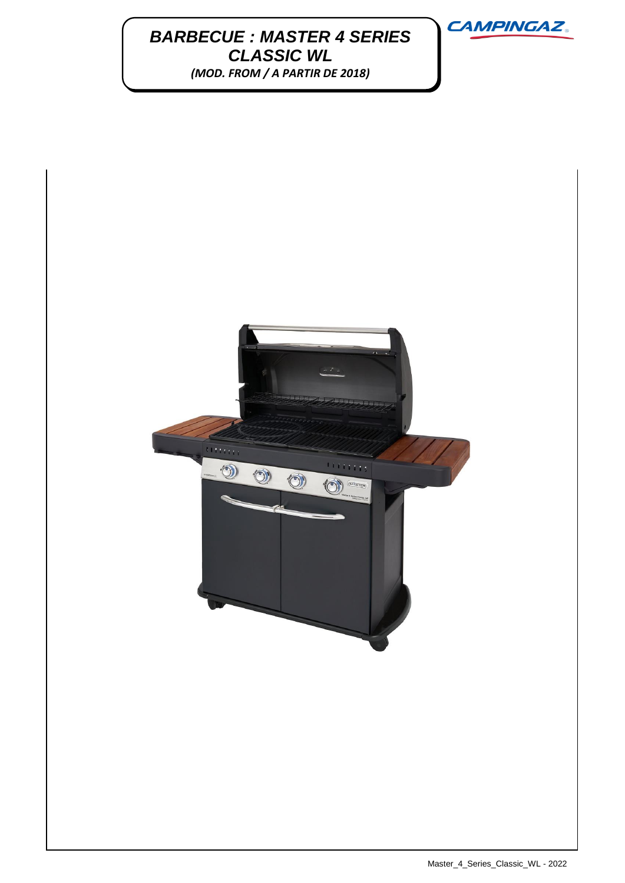## **BARBECUE : MASTER 4 SERIES** *CLASSIC WL (MOD. FROM / A PARTIR DE 2018)*



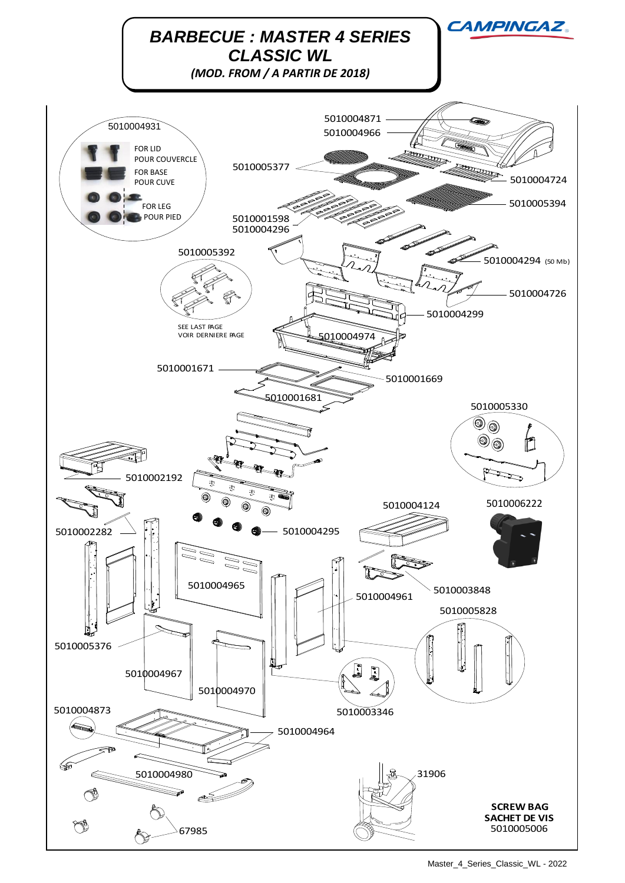

Master\_4\_Series\_Classic\_WL - 2022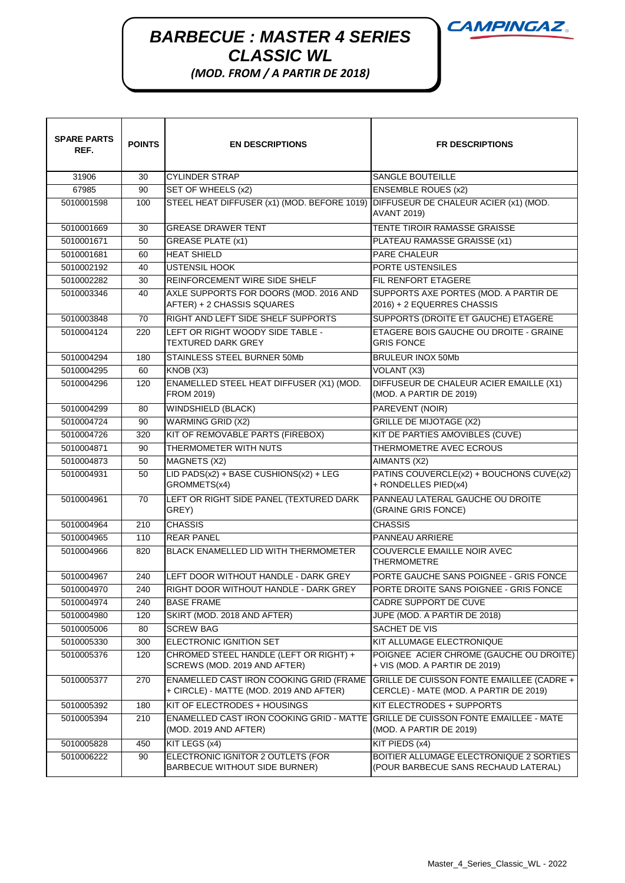## **BARBECUE : MASTER 4 SERIES**  $\overline{M}$ *CLASSIC WL*

*(MOD. FROM / A PARTIR DE 2018)*

| <b>SPARE PARTS</b><br>REF. | <b>POINTS</b> | <b>EN DESCRIPTIONS</b>                                                                    | <b>FR DESCRIPTIONS</b>                                                                     |
|----------------------------|---------------|-------------------------------------------------------------------------------------------|--------------------------------------------------------------------------------------------|
| 31906                      | 30            | <b>CYLINDER STRAP</b>                                                                     | <b>SANGLE BOUTEILLE</b>                                                                    |
| 67985                      | 90            | SET OF WHEELS (x2)                                                                        | <b>ENSEMBLE ROUES (x2)</b>                                                                 |
| 5010001598                 | 100           | STEEL HEAT DIFFUSER (x1) (MOD. BEFORE 1019)                                               | DIFFUSEUR DE CHALEUR ACIER (x1) (MOD.<br><b>AVANT 2019)</b>                                |
| 5010001669                 | 30            | <b>GREASE DRAWER TENT</b>                                                                 | TENTE TIROIR RAMASSE GRAISSE                                                               |
| 5010001671                 | 50            | <b>GREASE PLATE (x1)</b>                                                                  | PLATEAU RAMASSE GRAISSE (x1)                                                               |
| 5010001681                 | 60            | <b>HEAT SHIELD</b>                                                                        | PARE CHALEUR                                                                               |
| 5010002192                 | 40            | <b>USTENSIL HOOK</b>                                                                      | PORTE USTENSILES                                                                           |
| 5010002282                 | 30            | <b>REINFORCEMENT WIRE SIDE SHELF</b>                                                      | FIL RENFORT ETAGERE                                                                        |
| 5010003346                 | 40            | AXLE SUPPORTS FOR DOORS (MOD. 2016 AND<br>AFTER) + 2 CHASSIS SQUARES                      | SUPPORTS AXE PORTES (MOD. A PARTIR DE<br>2016) + 2 EQUERRES CHASSIS                        |
| 5010003848                 | 70            | RIGHT AND LEFT SIDE SHELF SUPPORTS                                                        | SUPPORTS (DROITE ET GAUCHE) ETAGERE                                                        |
| 5010004124                 | 220           | LEFT OR RIGHT WOODY SIDE TABLE -<br><b>TEXTURED DARK GREY</b>                             | ETAGERE BOIS GAUCHE OU DROITE - GRAINE<br><b>GRIS FONCE</b>                                |
| 5010004294                 | 180           | STAINLESS STEEL BURNER 50Mb                                                               | <b>BRULEUR INOX 50Mb</b>                                                                   |
| 5010004295                 | 60            | KNOB (X3)                                                                                 | VOLANT (X3)                                                                                |
| 5010004296                 | 120           | ENAMELLED STEEL HEAT DIFFUSER (X1) (MOD.<br><b>FROM 2019)</b>                             | DIFFUSEUR DE CHALEUR ACIER EMAILLE (X1)<br>(MOD. A PARTIR DE 2019)                         |
| 5010004299                 | 80            | WINDSHIELD (BLACK)                                                                        | PAREVENT (NOIR)                                                                            |
| 5010004724                 | 90            | <b>WARMING GRID (X2)</b>                                                                  | <b>GRILLE DE MIJOTAGE (X2)</b>                                                             |
| 5010004726                 | 320           | KIT OF REMOVABLE PARTS (FIREBOX)                                                          | KIT DE PARTIES AMOVIBLES (CUVE)                                                            |
| 5010004871                 | 90            | THERMOMETER WITH NUTS                                                                     | THERMOMETRE AVEC ECROUS                                                                    |
| 5010004873                 | 50            | MAGNETS (X2)                                                                              | AIMANTS (X2)                                                                               |
| 5010004931                 | 50            | LID PADS(x2) + BASE CUSHIONS(x2) + LEG<br>GROMMETS(x4)                                    | PATINS COUVERCLE(x2) + BOUCHONS CUVE(x2)<br>+ RONDELLES PIED(x4)                           |
| 5010004961                 | 70            | LEFT OR RIGHT SIDE PANEL (TEXTURED DARK<br>GREY)                                          | PANNEAU LATERAL GAUCHE OU DROITE<br>(GRAINE GRIS FONCE)                                    |
| 5010004964                 | 210           | <b>CHASSIS</b>                                                                            | <b>CHASSIS</b>                                                                             |
| 5010004965                 | 110           | <b>REAR PANEL</b>                                                                         | PANNEAU ARRIERE                                                                            |
| 5010004966                 | 820           | <b>BLACK ENAMELLED LID WITH THERMOMETER</b>                                               | COUVERCLE EMAILLE NOIR AVEC<br><b>THERMOMETRE</b>                                          |
| 5010004967                 | 240           | LEFT DOOR WITHOUT HANDLE - DARK GREY                                                      | PORTE GAUCHE SANS POIGNEE - GRIS FONCE                                                     |
| 5010004970                 | 240           | RIGHT DOOR WITHOUT HANDLE - DARK GREY                                                     | PORTE DROITE SANS POIGNEE - GRIS FONCE                                                     |
| 5010004974                 | 240           | <b>BASE FRAME</b>                                                                         | CADRE SUPPORT DE CUVE                                                                      |
| 5010004980                 | 120           | SKIRT (MOD. 2018 AND AFTER)                                                               | JUPE (MOD. A PARTIR DE 2018)                                                               |
| 5010005006                 | 80            | <b>SCREW BAG</b>                                                                          | SACHET DE VIS                                                                              |
| 5010005330                 | 300           | ELECTRONIC IGNITION SET                                                                   | KIT ALLUMAGE ELECTRONIQUE                                                                  |
| 5010005376                 | 120           | CHROMED STEEL HANDLE (LEFT OR RIGHT) +<br>SCREWS (MOD. 2019 AND AFTER)                    | POIGNEE ACIER CHROME (GAUCHE OU DROITE)<br>+ VIS (MOD. A PARTIR DE 2019)                   |
| 5010005377                 | 270           | <b>ENAMELLED CAST IRON COOKING GRID (FRAME</b><br>+ CIRCLE) - MATTE (MOD. 2019 AND AFTER) | <b>GRILLE DE CUISSON FONTE EMAILLEE (CADRE +</b><br>CERCLE) - MATE (MOD. A PARTIR DE 2019) |
| 5010005392                 | 180           | KIT OF ELECTRODES + HOUSINGS                                                              | KIT ELECTRODES + SUPPORTS                                                                  |
| 5010005394                 | 210           | ENAMELLED CAST IRON COOKING GRID - MATTE<br>(MOD. 2019 AND AFTER)                         | <b>IGRILLE DE CUISSON FONTE EMAILLEE - MATE</b><br>(MOD. A PARTIR DE 2019)                 |
| 5010005828                 | 450           | KIT LEGS (x4)                                                                             | KIT PIEDS (x4)                                                                             |
| 5010006222                 | 90            | ELECTRONIC IGNITOR 2 OUTLETS (FOR<br>BARBECUE WITHOUT SIDE BURNER)                        | BOITIER ALLUMAGE ELECTRONIQUE 2 SORTIES<br>(POUR BARBECUE SANS RECHAUD LATERAL)            |